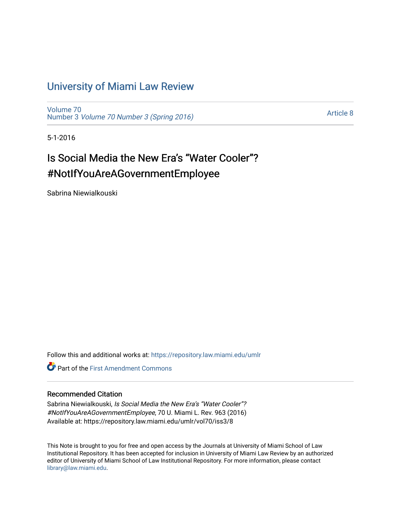# [University of Miami Law Review](https://repository.law.miami.edu/umlr)

[Volume 70](https://repository.law.miami.edu/umlr/vol70) Number 3 [Volume 70 Number 3 \(Spring 2016\)](https://repository.law.miami.edu/umlr/vol70/iss3)

[Article 8](https://repository.law.miami.edu/umlr/vol70/iss3/8) 

5-1-2016

# Is Social Media the New Era's "Water Cooler"? #NotIfYouAreAGovernmentEmployee

Sabrina Niewialkouski

Follow this and additional works at: [https://repository.law.miami.edu/umlr](https://repository.law.miami.edu/umlr?utm_source=repository.law.miami.edu%2Fumlr%2Fvol70%2Fiss3%2F8&utm_medium=PDF&utm_campaign=PDFCoverPages)

**Part of the First Amendment Commons** 

# Recommended Citation

Sabrina Niewialkouski, Is Social Media the New Era's "Water Cooler"? #NotIfYouAreAGovernmentEmployee, 70 U. Miami L. Rev. 963 (2016) Available at: https://repository.law.miami.edu/umlr/vol70/iss3/8

This Note is brought to you for free and open access by the Journals at University of Miami School of Law Institutional Repository. It has been accepted for inclusion in University of Miami Law Review by an authorized editor of University of Miami School of Law Institutional Repository. For more information, please contact [library@law.miami.edu.](mailto:library@law.miami.edu)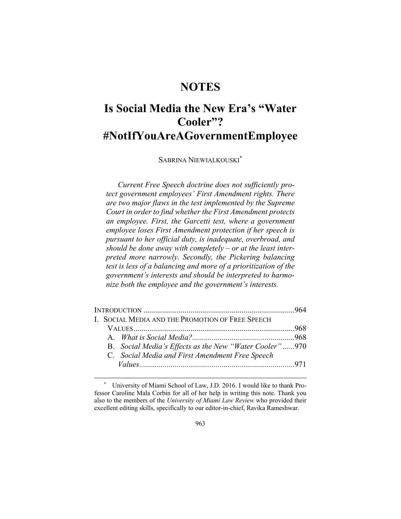# **NOTES**

# **Is Social Media the New Era's "Water Cooler"? #NotIfYouAreAGovernmentEmployee**

SABRINA NIEWIALKOUSKI\*

*Current Free Speech doctrine does not sufficiently protect government employees' First Amendment rights. There are two major flaws in the test implemented by the Supreme Court in order to find whether the First Amendment protects an employee. First, the Garcetti test, where a government employee loses First Amendment protection if her speech is pursuant to her official duty, is inadequate, overbroad, and should be done away with completely – or at the least interpreted more narrowly. Secondly, the Pickering balancing test is less of a balancing and more of a prioritization of the government's interests and should be interpreted to harmonize both the employee and the government's interests.* 

| I. SOCIAL MEDIA AND THE PROMOTION OF FREE SPEECH       |  |
|--------------------------------------------------------|--|
|                                                        |  |
|                                                        |  |
| B. Social Media's Effects as the New "Water Cooler"970 |  |
| C. Social Media and First Amendment Free Speech        |  |
|                                                        |  |

University of Miami School of Law, J.D. 2016. I would like to thank Professor Caroline Mala Corbin for all of her help in writing this note. Thank you also to the members of the *University of Miami Law Review* who provided their excellent editing skills, specifically to our editor-in-chief, Ravika Rameshwar.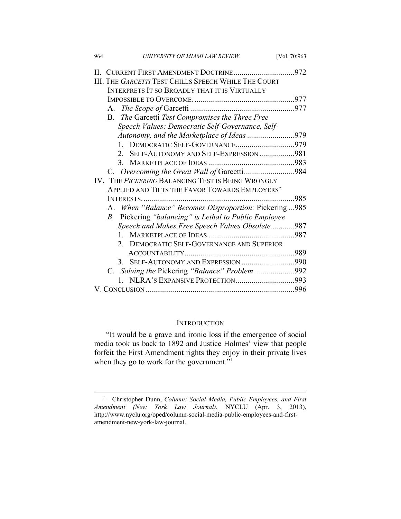| 964 | UNIVERSITY OF MIAMI LAW REVIEW                        | [Vol. 70:963] |
|-----|-------------------------------------------------------|---------------|
|     | II. CURRENT FIRST AMENDMENT DOCTRINE972               |               |
|     | III. THE GARCETTI TEST CHILLS SPEECH WHILE THE COURT  |               |
|     | INTERPRETS IT SO BROADLY THAT IT IS VIRTUALLY         |               |
|     |                                                       |               |
|     |                                                       |               |
|     | B. The Garcetti Test Compromises the Three Free       |               |
|     | Speech Values: Democratic Self-Governance, Self-      |               |
|     |                                                       |               |
|     |                                                       |               |
|     | SELF-AUTONOMY AND SELF-EXPRESSION981                  |               |
|     |                                                       |               |
|     | C. Overcoming the Great Wall of Garcetti984           |               |
|     | IV. THE PICKERING BALANCING TEST IS BEING WRONGLY     |               |
|     | APPLIED AND TILTS THE FAVOR TOWARDS EMPLOYERS'        |               |
|     |                                                       | 985           |
|     | A. When "Balance" Becomes Disproportion: Pickering985 |               |
|     | B. Pickering "balancing" is Lethal to Public Employee |               |
|     | Speech and Makes Free Speech Values Obsolete987       |               |
|     |                                                       |               |
|     | <b>DEMOCRATIC SELF-GOVERNANCE AND SUPERIOR</b>        |               |
|     |                                                       |               |
|     | 3. SELF-AUTONOMY AND EXPRESSION 990                   |               |
|     | C. Solving the Pickering "Balance" Problem992         |               |
|     |                                                       |               |
|     |                                                       |               |
|     |                                                       |               |

# **INTRODUCTION**

"It would be a grave and ironic loss if the emergence of social media took us back to 1892 and Justice Holmes' view that people forfeit the First Amendment rights they enjoy in their private lives when they go to work for the government."<sup>1</sup>

 <sup>1</sup> Christopher Dunn, *Column: Social Media, Public Employees, and First Amendment (New York Law Journal)*, NYCLU (Apr. 3, 2013), http://www.nyclu.org/oped/column-social-media-public-employees-and-firstamendment-new-york-law-journal.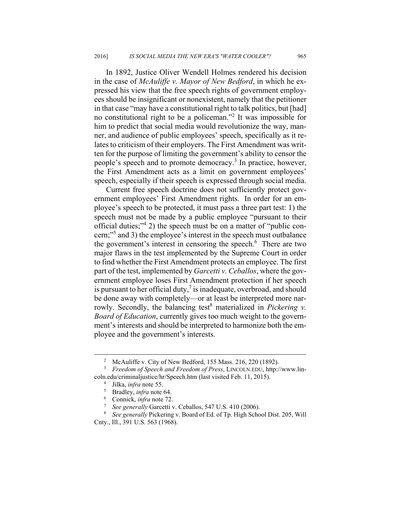In 1892, Justice Oliver Wendell Holmes rendered his decision in the case of *McAuliffe v. Mayor of New Bedford*, in which he expressed his view that the free speech rights of government employees should be insignificant or nonexistent, namely that the petitioner in that case "may have a constitutional right to talk politics, but [had] no constitutional right to be a policeman."<sup>2</sup> It was impossible for him to predict that social media would revolutionize the way, manner, and audience of public employees' speech, specifically as it relates to criticism of their employers. The First Amendment was written for the purpose of limiting the government's ability to censor the people's speech and to promote democracy.<sup>3</sup> In practice, however, the First Amendment acts as a limit on government employees' speech, especially if their speech is expressed through social media.

Current free speech doctrine does not sufficiently protect government employees' First Amendment rights. In order for an employee's speech to be protected, it must pass a three part test: 1) the speech must not be made by a public employee "pursuant to their official duties;"4 2) the speech must be on a matter of "public concern;"5 and 3) the employee's interest in the speech must outbalance the government's interest in censoring the speech.<sup>6</sup> There are two major flaws in the test implemented by the Supreme Court in order to find whether the First Amendment protects an employee. The first part of the test, implemented by *Garcetti v. Ceballos*, where the government employee loses First Amendment protection if her speech is pursuant to her official duty, $\frac{7}{1}$  is inadequate, overbroad, and should be done away with completely––or at least be interpreted more narrowly. Secondly, the balancing test<sup>8</sup> materialized in *Pickering v. Board of Education*, currently gives too much weight to the government's interests and should be interpreted to harmonize both the employee and the government's interests.

 <sup>2</sup> McAuliffe v. City of New Bedford, 155 Mass. 216, 220 (1892).

<sup>3</sup>  *Freedom of Speech and Freedom of Press*, LINCOLN.EDU, http://www.lincoln.edu/criminaljustice/hr/Speech.htm (last visited Feb. 11, 2015). 4

 $\frac{4}{5}$  Jilka, *infra* note 55.

<sup>&</sup>lt;sup>5</sup> Bradley, *infra* note 64.

Connick, *infra* note 72.

*See generally Garcetti v. Ceballos, 547 U.S. 410 (2006).* 

*See generally* Pickering v. Board of Ed. of Tp. High School Dist. 205, Will Cnty., Ill., 391 U.S. 563 (1968).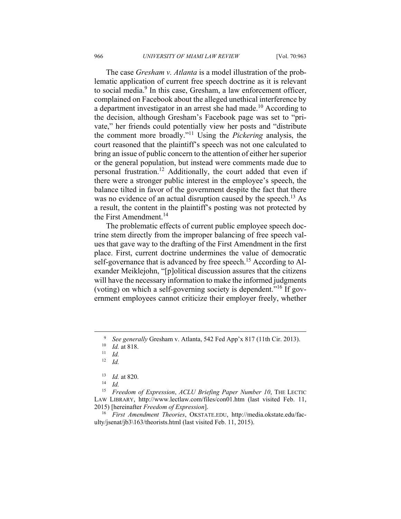The case *Gresham v. Atlanta* is a model illustration of the problematic application of current free speech doctrine as it is relevant to social media.<sup>9</sup> In this case, Gresham, a law enforcement officer, complained on Facebook about the alleged unethical interference by a department investigator in an arrest she had made.<sup>10</sup> According to the decision, although Gresham's Facebook page was set to "private," her friends could potentially view her posts and "distribute the comment more broadly."11 Using the *Pickering* analysis, the court reasoned that the plaintiff's speech was not one calculated to bring an issue of public concern to the attention of either her superior or the general population, but instead were comments made due to personal frustration.12 Additionally, the court added that even if there were a stronger public interest in the employee's speech, the balance tilted in favor of the government despite the fact that there was no evidence of an actual disruption caused by the speech.<sup>13</sup> As a result, the content in the plaintiff's posting was not protected by the First Amendment.<sup>14</sup>

The problematic effects of current public employee speech doctrine stem directly from the improper balancing of free speech values that gave way to the drafting of the First Amendment in the first place. First, current doctrine undermines the value of democratic self-governance that is advanced by free speech.<sup>15</sup> According to Alexander Meiklejohn, "[p]olitical discussion assures that the citizens will have the necessary information to make the informed judgments (voting) on which a self-governing society is dependent."16 If government employees cannot criticize their employer freely, whether

<sup>15</sup> *Freedom of Expression*, *ACLU Briefing Paper Number 10*, THE LECTIC LAW LIBRARY, http://www.lectlaw.com/files/con01.htm (last visited Feb. 11, 2015) [hereinafter *Freedom of Expression*]. 16 *First Amendment Theories*, OKSTATE.EDU, http://media.okstate.edu/fac-

ulty/jsenat/jb3\163/theorists.html (last visited Feb. 11, 2015).

 $\frac{1}{9}$ <sup>9</sup> See generally Gresham v. Atlanta, 542 Fed App'x 817 (11th Cir. 2013).<br>
<sup>10</sup> *Id.* at 818.<br>
<sup>11</sup> *Id.* 

<sup>12</sup> *Id.* 

<sup>13</sup> *Id.* at 820. 14 *Id.*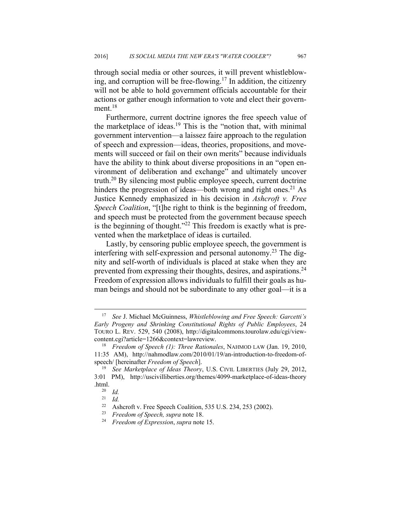through social media or other sources, it will prevent whistleblowing, and corruption will be free-flowing.<sup>17</sup> In addition, the citizenry will not be able to hold government officials accountable for their actions or gather enough information to vote and elect their government. $18$ 

Furthermore, current doctrine ignores the free speech value of the marketplace of ideas.<sup>19</sup> This is the "notion that, with minimal government intervention—a laissez faire approach to the regulation of speech and expression—ideas, theories, propositions, and movements will succeed or fail on their own merits" because individuals have the ability to think about diverse propositions in an "open environment of deliberation and exchange" and ultimately uncover truth.20 By silencing most public employee speech, current doctrine hinders the progression of ideas—both wrong and right ones. $^{21}$  As Justice Kennedy emphasized in his decision in *Ashcroft v. Free Speech Coalition*, "[t]he right to think is the beginning of freedom, and speech must be protected from the government because speech is the beginning of thought." $^{22}$  This freedom is exactly what is prevented when the marketplace of ideas is curtailed.

Lastly, by censoring public employee speech, the government is interfering with self-expression and personal autonomy.<sup>23</sup> The dignity and self-worth of individuals is placed at stake when they are prevented from expressing their thoughts, desires, and aspirations.<sup>24</sup> Freedom of expression allows individuals to fulfill their goals as human beings and should not be subordinate to any other goal––it is a

 <sup>17</sup> *See* J. Michael McGuinness, *Whistleblowing and Free Speech: Garcetti's Early Progeny and Shrinking Constitutional Rights of Public Employees*, 24 TOURO L. REV. 529, 540 (2008), http://digitalcommons.tourolaw.edu/cgi/viewcontent.cgi?article=1266&context=lawreview. 18 *Freedom of Speech (1): Three Rationales*, NAHMOD LAW (Jan. 19, 2010,

<sup>11:35</sup> AM), http://nahmodlaw.com/2010/01/19/an-introduction-to-freedom-ofspeech/ [hereinafter *Freedom of Speech*]. 19 *See Marketplace of Ideas Theory*, U.S. CIVIL LIBERTIES (July 29, 2012,

<sup>3:01</sup> PM), http://uscivilliberties.org/themes/4099-marketplace-of-ideas-theory .html. 20 *Id.*

<sup>21</sup> *Id.* 

<sup>&</sup>lt;sup>22</sup> Ashcroft v. Free Speech Coalition, 535 U.S. 234, 253 (2002).<br><sup>23</sup> Exector of Speech supra pote 18

<sup>23</sup> *Freedom of Speech, supra* note 18. 24 *Freedom of Expression*, *supra* note 15.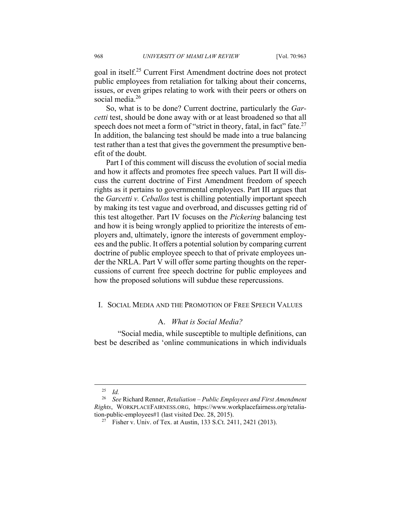goal in itself.25 Current First Amendment doctrine does not protect public employees from retaliation for talking about their concerns, issues, or even gripes relating to work with their peers or others on social media.<sup>26</sup>

So, what is to be done? Current doctrine, particularly the *Garcetti* test, should be done away with or at least broadened so that all speech does not meet a form of "strict in theory, fatal, in fact" fate.<sup>27</sup> In addition, the balancing test should be made into a true balancing test rather than a test that gives the government the presumptive benefit of the doubt.

Part I of this comment will discuss the evolution of social media and how it affects and promotes free speech values. Part II will discuss the current doctrine of First Amendment freedom of speech rights as it pertains to governmental employees. Part III argues that the *Garcetti v. Ceballos* test is chilling potentially important speech by making its test vague and overbroad, and discusses getting rid of this test altogether. Part IV focuses on the *Pickering* balancing test and how it is being wrongly applied to prioritize the interests of employers and, ultimately, ignore the interests of government employees and the public. It offers a potential solution by comparing current doctrine of public employee speech to that of private employees under the NRLA. Part V will offer some parting thoughts on the repercussions of current free speech doctrine for public employees and how the proposed solutions will subdue these repercussions.

#### I. SOCIAL MEDIA AND THE PROMOTION OF FREE SPEECH VALUES

# A. *What is Social Media?*

 "Social media, while susceptible to multiple definitions, can best be described as 'online communications in which individuals

 <sup>25</sup> *Id.*

<sup>26</sup> *See* Richard Renner, *Retaliation – Public Employees and First Amendment Rights*, WORKPLACEFAIRNESS.ORG, https://www.workplacefairness.org/retalia-

<sup>&</sup>lt;sup>27</sup> Fisher v. Univ. of Tex. at Austin, 133 S.Ct. 2411, 2421 (2013).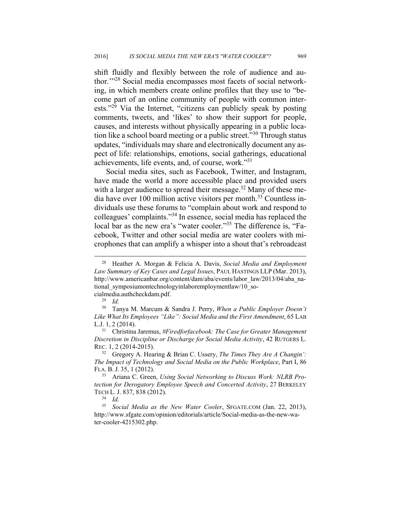shift fluidly and flexibly between the role of audience and author.'"28 Social media encompasses most facets of social networking, in which members create online profiles that they use to "become part of an online community of people with common interests."29 Via the Internet, "citizens can publicly speak by posting comments, tweets, and 'likes' to show their support for people, causes, and interests without physically appearing in a public location like a school board meeting or a public street."30 Through status updates, "individuals may share and electronically document any aspect of life: relationships, emotions, social gatherings, educational achievements, life events, and, of course, work."31

Social media sites, such as Facebook, Twitter, and Instagram, have made the world a more accessible place and provided users with a larger audience to spread their message.<sup>32</sup> Many of these media have over 100 million active visitors per month.<sup>33</sup> Countless individuals use these forums to "complain about work and respond to colleagues' complaints."34 In essence, social media has replaced the local bar as the new era's "water cooler."<sup>35</sup> The difference is, "Facebook, Twitter and other social media are water coolers with microphones that can amplify a whisper into a shout that's rebroadcast

cialmedia.authcheckdam.pdf. 29 *Id.*

 <sup>28</sup> Heather A. Morgan & Felicia A. Davis, *Social Media and Employment Law Summary of Key Cases and Legal Issues*, PAUL HASTINGS LLP (Mar. 2013), http://www.americanbar.org/content/dam/aba/events/labor\_law/2013/04/aba\_national\_symposiumontechnologyinlaboremploymentlaw/10\_so-

<sup>30</sup> Tanya M. Marcum & Sandra J. Perry, *When a Public Employer Doesn't Like What Its Employees "Like": Social Media and the First Amendment*, 65 LAB L.J. 1, 2 (2014). 31 Christina Jaremus, *#Firedforfacebook: The Case for Greater Management* 

*Discretion in Discipline or Discharge for Social Media Activity*, 42 RUTGERS L. REC. 1, 2 (2014-2015).

<sup>32</sup> Gregory A. Hearing & Brian C. Ussery, *The Times They Are A Changin': The Impact of Technology and Social Media on the Public Workplace*, Part I, 86 FLA. B. J. 35, 1 (2012). 33 Ariana C. Green, *Using Social Networking to Discuss Work: NLRB Pro-*

*tection for Derogatory Employee Speech and Concerted Activity*, 27 BERKELEY TECH L. J. 837, 838 (2012). 34 *Id.* 

<sup>35</sup> *Social Media as the New Water Cooler*, SFGATE.COM (Jan. 22, 2013), http://www.sfgate.com/opinion/editorials/article/Social-media-as-the-new-water-cooler-4215302.php.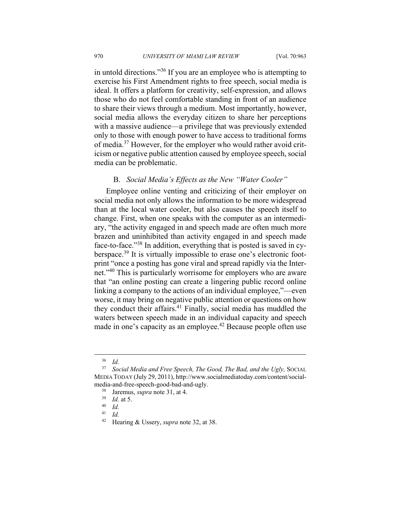in untold directions."36 If you are an employee who is attempting to exercise his First Amendment rights to free speech, social media is ideal. It offers a platform for creativity, self-expression, and allows those who do not feel comfortable standing in front of an audience to share their views through a medium. Most importantly, however, social media allows the everyday citizen to share her perceptions with a massive audience—a privilege that was previously extended only to those with enough power to have access to traditional forms of media.37 However, for the employer who would rather avoid criticism or negative public attention caused by employee speech, social media can be problematic.

## B. *Social Media's Effects as the New "Water Cooler"*

Employee online venting and criticizing of their employer on social media not only allows the information to be more widespread than at the local water cooler, but also causes the speech itself to change. First, when one speaks with the computer as an intermediary, "the activity engaged in and speech made are often much more brazen and uninhibited than activity engaged in and speech made face-to-face."38 In addition, everything that is posted is saved in cyberspace.<sup>39</sup> It is virtually impossible to erase one's electronic footprint "once a posting has gone viral and spread rapidly via the Internet."40 This is particularly worrisome for employers who are aware that "an online posting can create a lingering public record online linking a company to the actions of an individual employee,"––even worse, it may bring on negative public attention or questions on how they conduct their affairs.<sup>41</sup> Finally, social media has muddled the waters between speech made in an individual capacity and speech made in one's capacity as an employee.<sup>42</sup> Because people often use

 $rac{36}{37}$  *Id.* 

<sup>37</sup> *Social Media and Free Speech, The Good, The Bad, and the Ugly,* SOCIAL MEDIA TODAY (July 29, 2011), http://www.socialmediatoday.com/content/socialmedia-and-free-speech-good-bad-and-ugly.<br><sup>38</sup> Jaremus, *supra* note 31, at 4.<br><sup>39</sup> *Id.* at 5.<br><sup>40</sup> *Id.* 

<sup>41</sup> *Id.*

<sup>42</sup> Hearing & Ussery, *supra* note 32, at 38.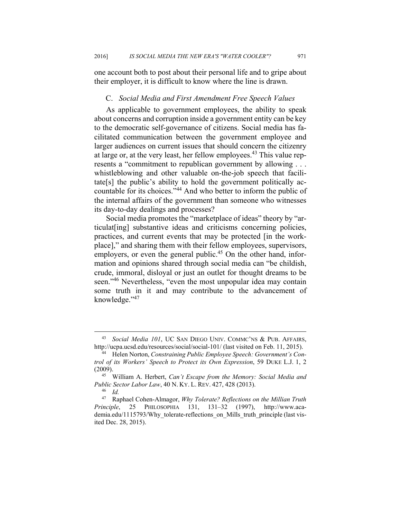one account both to post about their personal life and to gripe about their employer, it is difficult to know where the line is drawn.

#### C. *Social Media and First Amendment Free Speech Values*

As applicable to government employees, the ability to speak about concerns and corruption inside a government entity can be key to the democratic self-governance of citizens. Social media has facilitated communication between the government employee and larger audiences on current issues that should concern the citizenry at large or, at the very least, her fellow employees.43 This value represents a "commitment to republican government by allowing . . . whistleblowing and other valuable on-the-job speech that facilitate[s] the public's ability to hold the government politically accountable for its choices."<sup>44</sup> And who better to inform the public of the internal affairs of the government than someone who witnesses its day-to-day dealings and processes?

Social media promotes the "marketplace of ideas" theory by "articulat[ing] substantive ideas and criticisms concerning policies, practices, and current events that may be protected [in the workplace]," and sharing them with their fellow employees, supervisors, employers, or even the general public.<sup>45</sup> On the other hand, information and opinions shared through social media can "be childish, crude, immoral, disloyal or just an outlet for thought dreams to be seen."46 Nevertheless, "even the most unpopular idea may contain some truth in it and may contribute to the advancement of knowledge."47

 <sup>43</sup> *Social Media 101*, UC SAN DIEGO UNIV. COMMC'NS & PUB. AFFAIRS, http://ucpa.ucsd.edu/resources/social/social-101/ (last visited on Feb. 11, 2015). 44 Helen Norton, *Constraining Public Employee Speech: Government's Con-*

*trol of its Workers' Speech to Protect its Own Expression*, 59 DUKE L.J. 1, 2 (2009). 45 William A. Herbert, *Can't Escape from the Memory: Social Media and* 

*Public Sector Labor Law*, 40 N. KY. L. REV. 427, 428 (2013). 46 *Id.*

<sup>47</sup> Raphael Cohen-Almagor, *Why Tolerate? Reflections on the Millian Truth Principle*, 25 PHILOSOPHIA 131, 131–32 (1997), http://www.academia.edu/1115793/Why\_tolerate-reflections\_on\_Mills\_truth\_principle (last visited Dec. 28, 2015).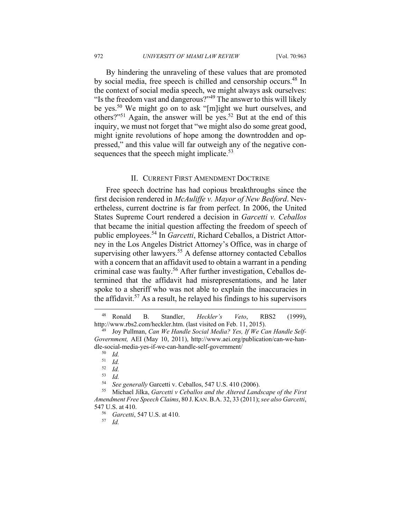By hindering the unraveling of these values that are promoted by social media, free speech is chilled and censorship occurs.<sup>48</sup> In the context of social media speech, we might always ask ourselves: "Is the freedom vast and dangerous?"49 The answer to this will likely be yes.50 We might go on to ask "[m]ight we hurt ourselves, and others?"51 Again, the answer will be yes.52 But at the end of this inquiry, we must not forget that "we might also do some great good, might ignite revolutions of hope among the downtrodden and oppressed," and this value will far outweigh any of the negative consequences that the speech might implicate.<sup>53</sup>

## II. CURRENT FIRST AMENDMENT DOCTRINE

Free speech doctrine has had copious breakthroughs since the first decision rendered in *McAuliffe v. Mayor of New Bedford*. Nevertheless, current doctrine is far from perfect. In 2006, the United States Supreme Court rendered a decision in *Garcetti v. Ceballos* that became the initial question affecting the freedom of speech of public employees.54 In *Garcetti*, Richard Ceballos, a District Attorney in the Los Angeles District Attorney's Office, was in charge of supervising other lawyers.<sup>55</sup> A defense attorney contacted Ceballos with a concern that an affidavit used to obtain a warrant in a pending criminal case was faulty.56 After further investigation, Ceballos determined that the affidavit had misrepresentations, and he later spoke to a sheriff who was not able to explain the inaccuracies in the affidavit.<sup>57</sup> As a result, he relayed his findings to his supervisors

 <sup>48</sup> Ronald B. Standler, *Heckler's Veto*, RBS2 (1999), http://www.rbs2.com/heckler.htm. (last visited on Feb. 11, 2015). 49 Joy Pullman, *Can We Handle Social Media? Yes, If We Can Handle Self-*

*Government,* AEI (May 10, 2011), http://www.aei.org/publication/can-we-handle-social-media-yes-if-we-can-handle-self-government/ 50 *Id.*

 $\frac{51}{52}$  *Id.* 

 $\frac{52}{53}$  *Id.* 

<sup>53</sup> *Id.*

<sup>54</sup> *See generally* Garcetti v. Ceballos, 547 U.S. 410 (2006). 55 Michael Jilka, *Garcetti v Ceballos and the Altered Landscape of the First Amendment Free Speech Claims*, 80 J. KAN.B.A. 32, 33 (2011); *see also Garcetti*, 547 U.S. at 410. 56 *Garcetti*, 547 U.S. at 410. 57 *Id.*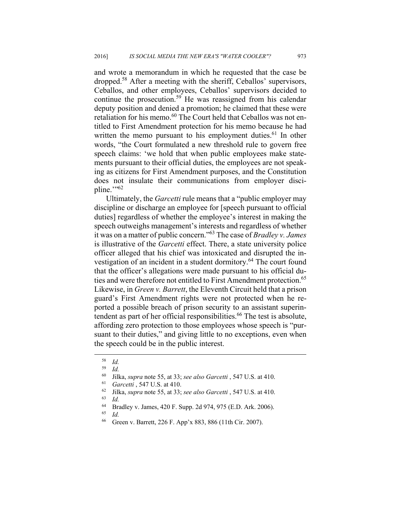and wrote a memorandum in which he requested that the case be dropped.58 After a meeting with the sheriff, Ceballos' supervisors, Ceballos, and other employees, Ceballos' supervisors decided to continue the prosecution.<sup>59</sup> He was reassigned from his calendar deputy position and denied a promotion; he claimed that these were retaliation for his memo.<sup>60</sup> The Court held that Ceballos was not entitled to First Amendment protection for his memo because he had written the memo pursuant to his employment duties.<sup>61</sup> In other words, "the Court formulated a new threshold rule to govern free speech claims: 'we hold that when public employees make statements pursuant to their official duties, the employees are not speaking as citizens for First Amendment purposes, and the Constitution does not insulate their communications from employer discipline. $\frac{1}{100}$ 

Ultimately, the *Garcetti* rule means that a "public employer may discipline or discharge an employee for [speech pursuant to official duties] regardless of whether the employee's interest in making the speech outweighs management's interests and regardless of whether it was on a matter of public concern."63 The case of *Bradley v. James* is illustrative of the *Garcetti* effect. There, a state university police officer alleged that his chief was intoxicated and disrupted the investigation of an incident in a student dormitory.<sup>64</sup> The court found that the officer's allegations were made pursuant to his official duties and were therefore not entitled to First Amendment protection.<sup>65</sup> Likewise, in *Green v. Barrett*, the Eleventh Circuit held that a prison guard's First Amendment rights were not protected when he reported a possible breach of prison security to an assistant superintendent as part of her official responsibilities.<sup>66</sup> The test is absolute, affording zero protection to those employees whose speech is "pursuant to their duties," and giving little to no exceptions, even when the speech could be in the public interest.

 $\frac{58}{59}$  *Id.* 

<sup>59</sup> *Id.*

<sup>&</sup>lt;sup>60</sup> Jilka, *supra* note 55, at 33; *see also Garcetti*, 547 U.S. at 410.<br>
<sup>61</sup> *Garcetti*, 547 U.S. at 410.<br>
<sup>62</sup> Jilka, *supra* note 55, at 33; *see also Garcetti*, 547 U.S. at 410.<br>
<sup>63</sup> *Id.* 

<sup>&</sup>lt;sup>64</sup> Bradley v. James, 420 F. Supp. 2d 974, 975 (E.D. Ark. 2006).

<sup>65</sup> *Id.*

<sup>66</sup> Green v. Barrett, 226 F. App'x 883, 886 (11th Cir. 2007).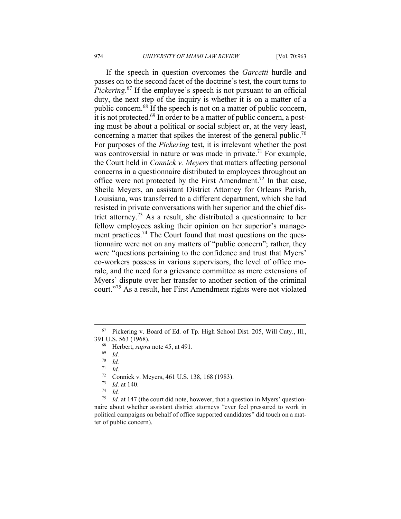If the speech in question overcomes the *Garcetti* hurdle and passes on to the second facet of the doctrine's test, the court turns to *Pickering*. 67 If the employee's speech is not pursuant to an official duty, the next step of the inquiry is whether it is on a matter of a public concern.<sup>68</sup> If the speech is not on a matter of public concern, it is not protected.69 In order to be a matter of public concern, a posting must be about a political or social subject or, at the very least, concerning a matter that spikes the interest of the general public.<sup>70</sup> For purposes of the *Pickering* test, it is irrelevant whether the post was controversial in nature or was made in private.<sup>71</sup> For example, the Court held in *Connick v. Meyers* that matters affecting personal concerns in a questionnaire distributed to employees throughout an office were not protected by the First Amendment.<sup>72</sup> In that case, Sheila Meyers, an assistant District Attorney for Orleans Parish, Louisiana, was transferred to a different department, which she had resisted in private conversations with her superior and the chief district attorney.73 As a result, she distributed a questionnaire to her fellow employees asking their opinion on her superior's management practices.<sup>74</sup> The Court found that most questions on the questionnaire were not on any matters of "public concern"; rather, they were "questions pertaining to the confidence and trust that Myers' co-workers possess in various supervisors, the level of office morale, and the need for a grievance committee as mere extensions of Myers' dispute over her transfer to another section of the criminal court."75 As a result, her First Amendment rights were not violated

<sup>71</sup> *Id.*

 <sup>67</sup> Pickering v. Board of Ed. of Tp. High School Dist. 205, Will Cnty., Ill., 391 U.S. 563 (1968). 68 Herbert, *supra* note 45, at 491. 69 *Id.*

 $\frac{70}{71}$  *Id.* 

<sup>72</sup> Connick v. Meyers, 461 U.S. 138, 168 (1983).

<sup>73</sup> *Id.* at 140. 74 *Id.*

<sup>75</sup> *Id.* at 147 (the court did note, however, that a question in Myers' questionnaire about whether assistant district attorneys "ever feel pressured to work in political campaigns on behalf of office supported candidates" did touch on a matter of public concern).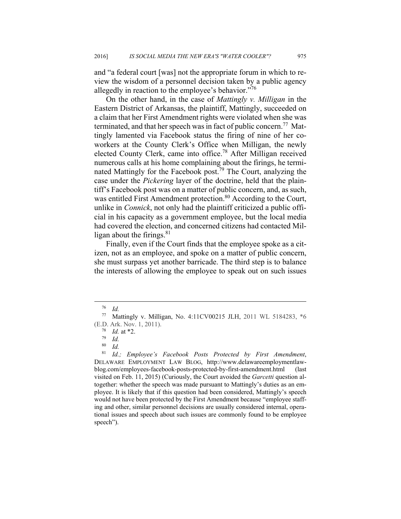and "a federal court [was] not the appropriate forum in which to review the wisdom of a personnel decision taken by a public agency allegedly in reaction to the employee's behavior."<sup>76</sup>

On the other hand, in the case of *Mattingly v. Milligan* in the Eastern District of Arkansas, the plaintiff, Mattingly, succeeded on a claim that her First Amendment rights were violated when she was terminated, and that her speech was in fact of public concern.<sup>77</sup> Mattingly lamented via Facebook status the firing of nine of her coworkers at the County Clerk's Office when Milligan, the newly elected County Clerk, came into office.<sup>78</sup> After Milligan received numerous calls at his home complaining about the firings, he terminated Mattingly for the Facebook post.79 The Court, analyzing the case under the *Pickering* layer of the doctrine, held that the plaintiff's Facebook post was on a matter of public concern, and, as such, was entitled First Amendment protection.<sup>80</sup> According to the Court, unlike in *Connick*, not only had the plaintiff criticized a public official in his capacity as a government employee, but the local media had covered the election, and concerned citizens had contacted Milligan about the firings. $81$ 

Finally, even if the Court finds that the employee spoke as a citizen, not as an employee, and spoke on a matter of public concern, she must surpass yet another barricade. The third step is to balance the interests of allowing the employee to speak out on such issues

 <sup>76</sup> *Id.*

<sup>77</sup> Mattingly v. Milligan, No. 4:11CV00215 JLH, 2011 WL 5184283, \*6 (E.D. Ark. Nov. 1, 2011).

 $\frac{78}{79}$  *Id.* at \*2.<br> $\frac{79}{80}$  *Id.* 

 $\begin{array}{cc} 80 & Id. \\ 81 & Id. \end{array}$ 

<sup>81</sup> *Id.; Employee's Facebook Posts Protected by First Amendment*, DELAWARE EMPLOYMENT LAW BLOG, http://www.delawareemploymentlawblog.com/employees-facebook-posts-protected-by-first-amendment.html (last visited on Feb. 11, 2015) (Curiously, the Court avoided the *Garcetti* question altogether: whether the speech was made pursuant to Mattingly's duties as an employee. It is likely that if this question had been considered, Mattingly's speech would not have been protected by the First Amendment because "employee staffing and other, similar personnel decisions are usually considered internal, operational issues and speech about such issues are commonly found to be employee speech").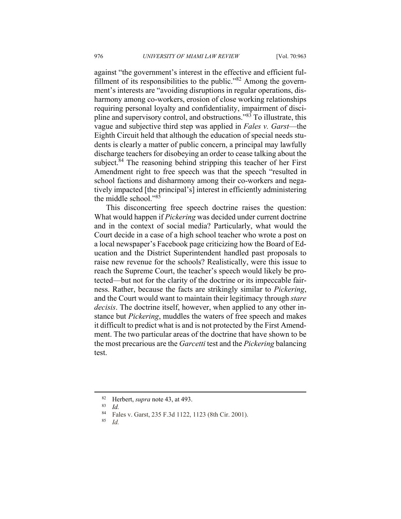against "the government's interest in the effective and efficient fulfillment of its responsibilities to the public."82 Among the government's interests are "avoiding disruptions in regular operations, disharmony among co-workers, erosion of close working relationships requiring personal loyalty and confidentiality, impairment of discipline and supervisory control, and obstructions."83 To illustrate, this vague and subjective third step was applied in *Fales v. Garst*––the Eighth Circuit held that although the education of special needs students is clearly a matter of public concern, a principal may lawfully discharge teachers for disobeying an order to cease talking about the subject.<sup>84</sup> The reasoning behind stripping this teacher of her First Amendment right to free speech was that the speech "resulted in school factions and disharmony among their co-workers and negatively impacted [the principal's] interest in efficiently administering the middle school."85

This disconcerting free speech doctrine raises the question: What would happen if *Pickering* was decided under current doctrine and in the context of social media? Particularly, what would the Court decide in a case of a high school teacher who wrote a post on a local newspaper's Facebook page criticizing how the Board of Education and the District Superintendent handled past proposals to raise new revenue for the schools? Realistically, were this issue to reach the Supreme Court, the teacher's speech would likely be protected––but not for the clarity of the doctrine or its impeccable fairness. Rather, because the facts are strikingly similar to *Pickering*, and the Court would want to maintain their legitimacy through *stare decisis*. The doctrine itself, however, when applied to any other instance but *Pickering*, muddles the waters of free speech and makes it difficult to predict what is and is not protected by the First Amendment. The two particular areas of the doctrine that have shown to be the most precarious are the *Garcetti* test and the *Pickering* balancing test.

<sup>82</sup> Herbert, *supra* note 43, at 493.<br>
84 Eales v Garst, 235 E 3d 1122

<sup>&</sup>lt;sup>84</sup> Fales v. Garst, 235 F.3d 1122, 1123 (8th Cir. 2001).

<sup>85</sup> *Id.*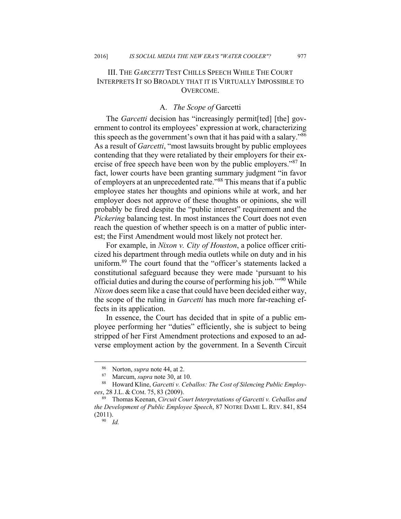# III. THE *GARCETTI* TEST CHILLS SPEECH WHILE THE COURT INTERPRETS IT SO BROADLY THAT IT IS VIRTUALLY IMPOSSIBLE TO **OVERCOME**

#### A. *The Scope of* Garcetti

The *Garcetti* decision has "increasingly permit[ted] [the] government to control its employees' expression at work, characterizing this speech as the government's own that it has paid with a salary."86 As a result of *Garcetti*, "most lawsuits brought by public employees contending that they were retaliated by their employers for their exercise of free speech have been won by the public employers."<sup>87</sup> In fact, lower courts have been granting summary judgment "in favor of employers at an unprecedented rate."88 This means that if a public employee states her thoughts and opinions while at work, and her employer does not approve of these thoughts or opinions, she will probably be fired despite the "public interest" requirement and the *Pickering* balancing test. In most instances the Court does not even reach the question of whether speech is on a matter of public interest; the First Amendment would most likely not protect her.

For example, in *Nixon v. City of Houston*, a police officer criticized his department through media outlets while on duty and in his uniform.89 The court found that the "officer's statements lacked a constitutional safeguard because they were made 'pursuant to his official duties and during the course of performing his job.'"90 While *Nixon* does seem like a case that could have been decided either way, the scope of the ruling in *Garcetti* has much more far-reaching effects in its application.

In essence, the Court has decided that in spite of a public employee performing her "duties" efficiently, she is subject to being stripped of her First Amendment protections and exposed to an adverse employment action by the government. In a Seventh Circuit

 <sup>86</sup> Norton, *supra* note 44, at 2. 87 Marcum, *supra* note 30, at 10. 88 Howard Kline, *Garcetti v. Ceballos: The Cost of Silencing Public Employees*, 28 J.L. & COM. 75, 83 (2009).<br><sup>89</sup> Thomas Keenan, *Circuit Court Interpretations of Garcetti v. Ceballos and* 

*the Development of Public Employee Speech*, 87 NOTRE DAME L. REV. 841, 854  $(2011).$ <sup>90</sup> *Id.*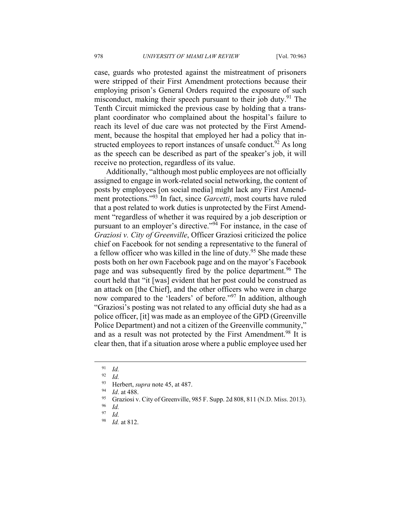case, guards who protested against the mistreatment of prisoners were stripped of their First Amendment protections because their employing prison's General Orders required the exposure of such misconduct, making their speech pursuant to their job duty.<sup>91</sup> The Tenth Circuit mimicked the previous case by holding that a transplant coordinator who complained about the hospital's failure to reach its level of due care was not protected by the First Amendment, because the hospital that employed her had a policy that instructed employees to report instances of unsafe conduct.  $92$  As long as the speech can be described as part of the speaker's job, it will receive no protection, regardless of its value.

Additionally, "although most public employees are not officially assigned to engage in work-related social networking, the content of posts by employees [on social media] might lack any First Amendment protections."93 In fact, since *Garcetti*, most courts have ruled that a post related to work duties is unprotected by the First Amendment "regardless of whether it was required by a job description or pursuant to an employer's directive."94 For instance, in the case of *Graziosi v. City of Greenville*, Officer Graziosi criticized the police chief on Facebook for not sending a representative to the funeral of a fellow officer who was killed in the line of duty.<sup>95</sup> She made these posts both on her own Facebook page and on the mayor's Facebook page and was subsequently fired by the police department.<sup>96</sup> The court held that "it [was] evident that her post could be construed as an attack on [the Chief], and the other officers who were in charge now compared to the 'leaders' of before."97 In addition, although "Graziosi's posting was not related to any official duty she had as a police officer, [it] was made as an employee of the GPD (Greenville Police Department) and not a citizen of the Greenville community," and as a result was not protected by the First Amendment.<sup>98</sup> It is clear then, that if a situation arose where a public employee used her

 <sup>91</sup> *Id.*

 $\frac{92}{93}$  *Id.* 

<sup>93</sup> Herbert, *supra* note 45, at 487.<br><sup>94</sup> *Id.* at 488.<br><sup>95</sup> Graziosi v. City of Greenville, 985 F. Supp. 2d 808, 811 (N.D. Miss. 2013).

 $\frac{96}{97}$  *Id.* 

 $\frac{97}{98}$  *Id.* 

<sup>98</sup> *Id.* at 812.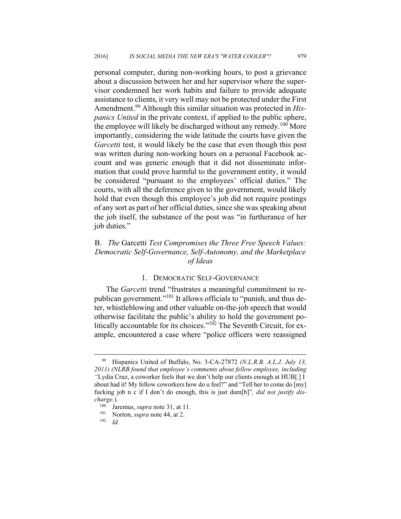personal computer, during non-working hours, to post a grievance about a discussion between her and her supervisor where the supervisor condemned her work habits and failure to provide adequate assistance to clients, it very well may not be protected under the First Amendment.99 Although this similar situation was protected in *Hispanics United* in the private context, if applied to the public sphere, the employee will likely be discharged without any remedy.<sup>100</sup> More importantly, considering the wide latitude the courts have given the *Garcetti* test, it would likely be the case that even though this post was written during non-working hours on a personal Facebook account and was generic enough that it did not disseminate information that could prove harmful to the government entity, it would be considered "pursuant to the employees' official duties." The courts, with all the deference given to the government, would likely hold that even though this employee's job did not require postings of any sort as part of her official duties, since she was speaking about the job itself, the substance of the post was "in furtherance of her job duties."

# B. *The* Garcetti *Test Compromises the Three Free Speech Values: Democratic Self-Governance, Self-Autonomy, and the Marketplace of Ideas*

# 1. DEMOCRATIC SELF-GOVERNANCE

The *Garcetti* trend "frustrates a meaningful commitment to republican government."<sup>101</sup> It allows officials to "punish, and thus deter, whistleblowing and other valuable on-the-job speech that would otherwise facilitate the public's ability to hold the government politically accountable for its choices."<sup>102</sup> The Seventh Circuit, for example, encountered a case where "police officers were reassigned

 <sup>99</sup> Hispanics United of Buffalo, No. 3-CA-27872 *(N.L.R.B. A.L.J. July 13, 2011) (NLRB found that employee's comments about fellow employee, including "*Lydia Cruz, a coworker feels that we don't help our clients enough at HUB[.] I about had it! My fellow coworkers how do u feel?" and "Tell her to come do [my] fucking job n c if I don't do enough, this is just dum[b]"*, did not justify discharge.*). Jaremus, *supra* note 31, at 11.<br><sup>101</sup> Norton, *supra* note 44, at 2.<br><sup>102</sup> *Id.*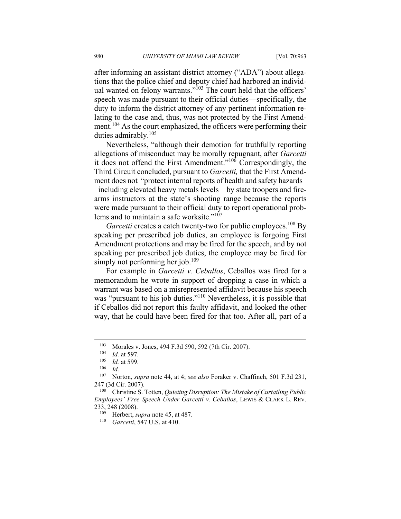after informing an assistant district attorney ("ADA") about allegations that the police chief and deputy chief had harbored an individual wanted on felony warrants."<sup>103</sup> The court held that the officers' speech was made pursuant to their official duties––specifically, the duty to inform the district attorney of any pertinent information relating to the case and, thus, was not protected by the First Amendment.<sup>104</sup> As the court emphasized, the officers were performing their duties admirably.105

Nevertheless, "although their demotion for truthfully reporting allegations of misconduct may be morally repugnant, after *Garcetti* it does not offend the First Amendment."106 Correspondingly, the Third Circuit concluded, pursuant to *Garcetti,* that the First Amendment does not "protect internal reports of health and safety hazards– –including elevated heavy metals levels––by state troopers and firearms instructors at the state's shooting range because the reports were made pursuant to their official duty to report operational problems and to maintain a safe worksite."<sup>107</sup>

*Garcetti* creates a catch twenty-two for public employees.<sup>108</sup> By speaking per prescribed job duties, an employee is forgoing First Amendment protections and may be fired for the speech, and by not speaking per prescribed job duties, the employee may be fired for simply not performing her job. $109$ 

For example in *Garcetti v. Ceballos*, Ceballos was fired for a memorandum he wrote in support of dropping a case in which a warrant was based on a misrepresented affidavit because his speech was "pursuant to his job duties."<sup>110</sup> Nevertheless, it is possible that if Ceballos did not report this faulty affidavit, and looked the other way, that he could have been fired for that too. After all, part of a

 $103$  Morales v. Jones, 494 F.3d 590, 592 (7th Cir. 2007).

<sup>104</sup> *Id.* at 597. 105 *Id.* at 599. 106 *Id.*

<sup>107</sup> Norton, *supra* note 44, at 4; *see also* Foraker v. Chaffinch, 501 F.3d 231, 247 (3d Cir. 2007). 108 Christine S. Totten, *Quieting Disruption: The Mistake of Curtailing Public* 

*Employees' Free Speech Under Garcetti v. Ceballos*, LEWIS & CLARK L. REV. 233, 248 (2008). 109 Herbert, *supra* note 45, at 487. 110 *Garcetti*, 547 U.S. at 410.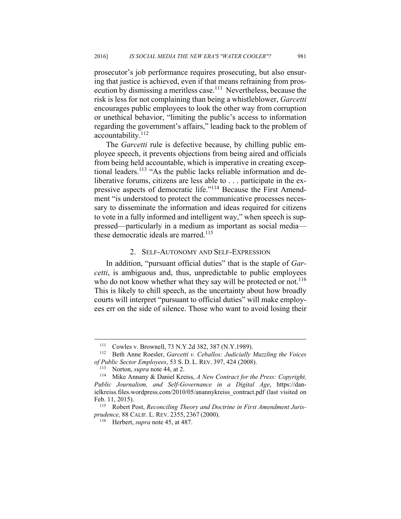prosecutor's job performance requires prosecuting, but also ensuring that justice is achieved, even if that means refraining from prosecution by dismissing a meritless case.<sup>111</sup> Nevertheless, because the risk is less for not complaining than being a whistleblower, *Garcetti*  encourages public employees to look the other way from corruption or unethical behavior, "limiting the public's access to information regarding the government's affairs," leading back to the problem of accountability.112

The *Garcetti* rule is defective because, by chilling public employee speech, it prevents objections from being aired and officials from being held accountable, which is imperative in creating exceptional leaders.<sup>113</sup> "As the public lacks reliable information and deliberative forums, citizens are less able to . . . participate in the expressive aspects of democratic life."114 Because the First Amendment "is understood to protect the communicative processes necessary to disseminate the information and ideas required for citizens to vote in a fully informed and intelligent way," when speech is suppressed––particularly in a medium as important as social media–– these democratic ideals are marred.<sup>115</sup>

#### 2. SELF-AUTONOMY AND SELF-EXPRESSION

In addition, "pursuant official duties" that is the staple of *Garcetti*, is ambiguous and, thus, unpredictable to public employees who do not know whether what they say will be protected or not.<sup>116</sup> This is likely to chill speech, as the uncertainty about how broadly courts will interpret "pursuant to official duties" will make employees err on the side of silence. Those who want to avoid losing their

<sup>111</sup> Cowles v. Brownell, 73 N.Y.2d 382, 387 (N.Y.1989). 112 Beth Anne Roesler, *Garcetti v. Ceballos: Judicially Muzzling the Voices of Public Sector Employees,* 53 S. D. L. REV. 397, 424 (2008).<br><sup>113</sup> Norton, *supra* note 44, at 2.<br><sup>114</sup> Mike Annany & Daniel Kreiss, *A New Contract for the Press: Copyright*,

*Public Journalism, and Self-Governance in a Digital Age*, https://danielkreiss.files.wordpress.com/2010/05/anannykreiss\_contract.pdf (last visited on Feb. 11, 2015).<br><sup>115</sup> Robert Post, *Reconciling Theory and Doctrine in First Amendment Juris-*

*prudence,* 88 CALIF. L. REV. 2355, <sup>2367</sup> (2000). 116 Herbert, *supra* note 45, at 487.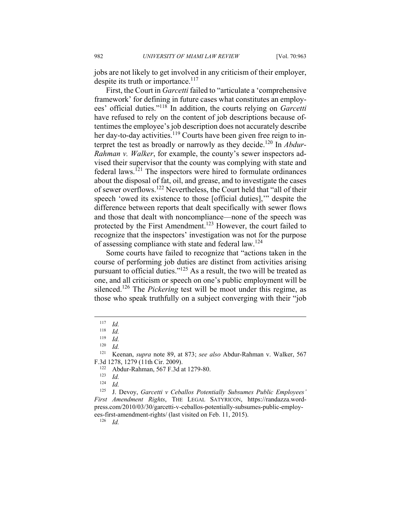jobs are not likely to get involved in any criticism of their employer, despite its truth or importance.<sup>117</sup>

First, the Court in *Garcetti* failed to "articulate a 'comprehensive framework' for defining in future cases what constitutes an employees' official duties."118 In addition, the courts relying on *Garcetti* have refused to rely on the content of job descriptions because oftentimes the employee's job description does not accurately describe her day-to-day activities.<sup>119</sup> Courts have been given free reign to interpret the test as broadly or narrowly as they decide.120 In *Abdur-Rahman v. Walker*, for example, the county's sewer inspectors advised their supervisor that the county was complying with state and federal laws.<sup>121</sup> The inspectors were hired to formulate ordinances about the disposal of fat, oil, and grease, and to investigate the cases of sewer overflows.122 Nevertheless, the Court held that "all of their speech 'owed its existence to those [official duties],'" despite the difference between reports that dealt specifically with sewer flows and those that dealt with noncompliance––none of the speech was protected by the First Amendment.<sup>123</sup> However, the court failed to recognize that the inspectors' investigation was not for the purpose of assessing compliance with state and federal law.124

Some courts have failed to recognize that "actions taken in the course of performing job duties are distinct from activities arising pursuant to official duties."125 As a result, the two will be treated as one, and all criticism or speech on one's public employment will be silenced.<sup>126</sup> The *Pickering* test will be moot under this regime, as those who speak truthfully on a subject converging with their "job

 $\overline{a}$ 

125 J. Devoy, *Garcetti v Ceballos Potentially Subsumes Public Employees' First Amendment Rights*, THE LEGAL SATYRICON, https://randazza.wordpress.com/2010/03/30/garcetti-v-ceballos-potentially-subsumes-public-employees-first-amendment-rights/ (last visited on Feb. 11, 2015). 126 *Id.*

 $\frac{117}{118}$  *Id.* 

 $\frac{118}{119}$  *Id.* 

 $\frac{119}{120}$  *Id.* 

 $\frac{120}{121}$  *Id.* 

<sup>121</sup> Keenan, *supra* note 89, at 873; *see also* Abdur-Rahman v. Walker, 567 F.3d 1278, 1279 (11th Cir. 2009).<br><sup>122</sup> Abdur-Rahman, 567 F.3d at 1279-80.<br><sup>123</sup> Id.

 $\frac{124}{125}$  *Id.*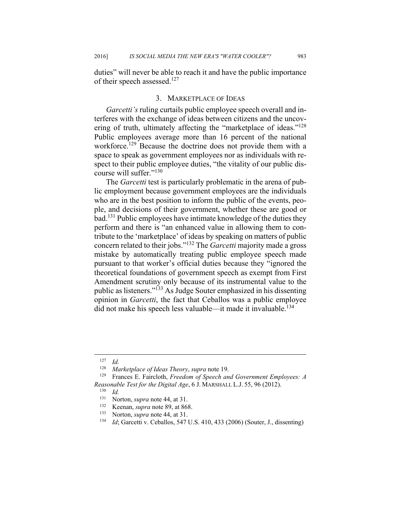duties" will never be able to reach it and have the public importance of their speech assessed.<sup>127</sup>

#### 3. MARKETPLACE OF IDEAS

*Garcetti's* ruling curtails public employee speech overall and interferes with the exchange of ideas between citizens and the uncovering of truth, ultimately affecting the "marketplace of ideas."<sup>128</sup> Public employees average more than 16 percent of the national workforce.<sup>129</sup> Because the doctrine does not provide them with a space to speak as government employees nor as individuals with respect to their public employee duties, "the vitality of our public discourse will suffer."130

The *Garcetti* test is particularly problematic in the arena of public employment because government employees are the individuals who are in the best position to inform the public of the events, people, and decisions of their government, whether these are good or bad.131 Public employees have intimate knowledge of the duties they perform and there is "an enhanced value in allowing them to contribute to the 'marketplace' of ideas by speaking on matters of public concern related to their jobs."132 The *Garcetti* majority made a gross mistake by automatically treating public employee speech made pursuant to that worker's official duties because they "ignored the theoretical foundations of government speech as exempt from First Amendment scrutiny only because of its instrumental value to the public as listeners."133 As Judge Souter emphasized in his dissenting opinion in *Garcetti*, the fact that Ceballos was a public employee did not make his speech less valuable—it made it invaluable.<sup>134</sup>

 $\frac{127}{128}$  *Id.* 

<sup>&</sup>lt;sup>128</sup> Marketplace of Ideas Theory, *supra* note 19.<br><sup>129</sup> Frances E. Faircloth, *Freedom of Speech and Government Employees: A Reasonable Test for the Digital Age*, 6 J. MARSHALL L.J. 55, 96 (2012). 130 *Id.*

<sup>131</sup> Norton, *supra* note 44, at 31.<br>
<sup>132</sup> Keenan, *supra* note 89, at 868.<br>
<sup>133</sup> Id; Garcetti v. Ceballos, 547 U.S. 410, 433 (2006) (Souter, J., dissenting)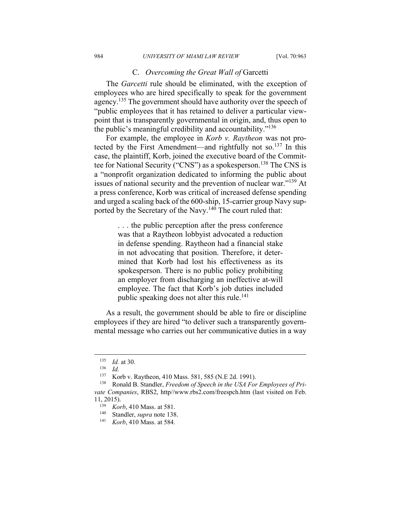#### C. *Overcoming the Great Wall of* Garcetti

The *Garcetti* rule should be eliminated, with the exception of employees who are hired specifically to speak for the government agency.<sup>135</sup> The government should have authority over the speech of "public employees that it has retained to deliver a particular viewpoint that is transparently governmental in origin, and, thus open to the public's meaningful credibility and accountability."<sup>136</sup>

For example, the employee in *Korb v. Raytheon* was not protected by the First Amendment—and rightfully not so.<sup>137</sup> In this case, the plaintiff, Korb, joined the executive board of the Committee for National Security ("CNS") as a spokesperson.<sup>138</sup> The CNS is a "nonprofit organization dedicated to informing the public about issues of national security and the prevention of nuclear war."139 At a press conference, Korb was critical of increased defense spending and urged a scaling back of the 600-ship, 15-carrier group Navy supported by the Secretary of the Navy.<sup>140</sup> The court ruled that:

> . . . the public perception after the press conference was that a Raytheon lobbyist advocated a reduction in defense spending. Raytheon had a financial stake in not advocating that position. Therefore, it determined that Korb had lost his effectiveness as its spokesperson. There is no public policy prohibiting an employer from discharging an ineffective at-will employee. The fact that Korb's job duties included public speaking does not alter this rule.<sup>141</sup>

As a result, the government should be able to fire or discipline employees if they are hired "to deliver such a transparently governmental message who carries out her communicative duties in a way

<sup>135</sup> *Id.* at 30.<br>
<sup>136</sup> *Id.*<br>
<sup>137</sup> Korb v J

<sup>137</sup> Korb v. Raytheon, 410 Mass. 581, 585 (N.E 2d. 1991). 138 Ronald B. Standler, *Freedom of Speech in the USA For Employees of Private Companies*, RBS2, http//www.rbs2.com/freespch.htm (last visited on Feb.

<sup>11, 2015). 139</sup> *Korb*, 410 Mass. at 581. 140 Standler, *supra* note 138. 141 *Korb*, 410 Mass. at 584.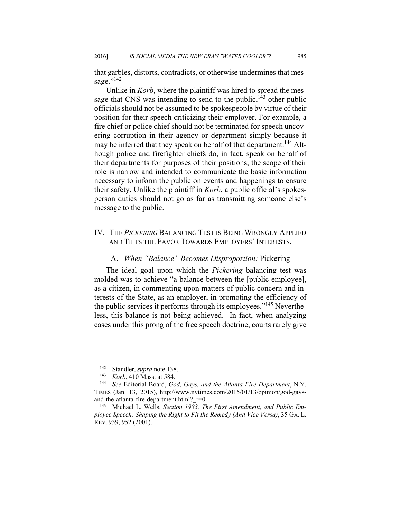that garbles, distorts, contradicts, or otherwise undermines that message."<sup>142</sup>

Unlike in *Korb*, where the plaintiff was hired to spread the message that CNS was intending to send to the public,  $143$  other public officials should not be assumed to be spokespeople by virtue of their position for their speech criticizing their employer. For example, a fire chief or police chief should not be terminated for speech uncovering corruption in their agency or department simply because it may be inferred that they speak on behalf of that department.<sup>144</sup> Although police and firefighter chiefs do, in fact, speak on behalf of their departments for purposes of their positions, the scope of their role is narrow and intended to communicate the basic information necessary to inform the public on events and happenings to ensure their safety. Unlike the plaintiff in *Korb*, a public official's spokesperson duties should not go as far as transmitting someone else's message to the public.

# IV. THE *PICKERING* BALANCING TEST IS BEING WRONGLY APPLIED AND TILTS THE FAVOR TOWARDS EMPLOYERS' INTERESTS.

#### A. *When "Balance" Becomes Disproportion:* Pickering

The ideal goal upon which the *Pickering* balancing test was molded was to achieve "a balance between the [public employee], as a citizen, in commenting upon matters of public concern and interests of the State, as an employer, in promoting the efficiency of the public services it performs through its employees."<sup>145</sup> Nevertheless, this balance is not being achieved. In fact, when analyzing cases under this prong of the free speech doctrine, courts rarely give

<sup>142</sup> Standler, *supra* note 138. 143 *Korb*, 410 Mass. at 584. 144 *See* Editorial Board, *God, Gays, and the Atlanta Fire Department*, N.Y. TIMES (Jan. 13, 2015), http://www.nytimes.com/2015/01/13/opinion/god-gaysand-the-atlanta-fire-department.html?\_r=0.<br><sup>145</sup> Michael L. Wells, *Section 1983*, *The First Amendment, and Public Em-*

*ployee Speech: Shaping the Right to Fit the Remedy (And Vice Versa)*, 35 GA. L. REV. 939, 952 (2001).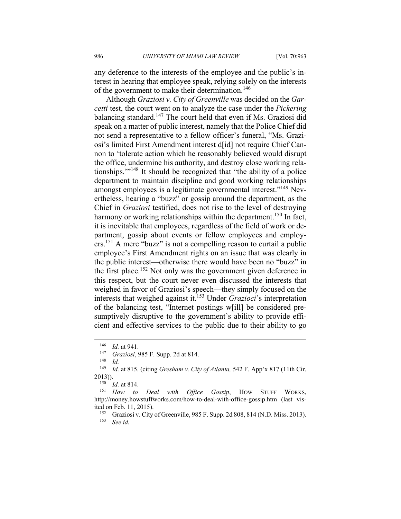any deference to the interests of the employee and the public's interest in hearing that employee speak, relying solely on the interests of the government to make their determination.<sup>146</sup>

Although *Graziosi v. City of Greenville* was decided on the *Garcetti* test, the court went on to analyze the case under the *Pickering* balancing standard.<sup>147</sup> The court held that even if Ms. Graziosi did speak on a matter of public interest, namely that the Police Chief did not send a representative to a fellow officer's funeral, "Ms. Graziosi's limited First Amendment interest d[id] not require Chief Cannon to 'tolerate action which he reasonably believed would disrupt the office, undermine his authority, and destroy close working relationships.'"148 It should be recognized that "the ability of a police department to maintain discipline and good working relationships amongst employees is a legitimate governmental interest."<sup>149</sup> Nevertheless, hearing a "buzz" or gossip around the department, as the Chief in *Graziosi* testified, does not rise to the level of destroying harmony or working relationships within the department.<sup>150</sup> In fact, it is inevitable that employees, regardless of the field of work or department, gossip about events or fellow employees and employers.151 A mere "buzz" is not a compelling reason to curtail a public employee's First Amendment rights on an issue that was clearly in the public interest––otherwise there would have been no "buzz" in the first place.<sup>152</sup> Not only was the government given deference in this respect, but the court never even discussed the interests that weighed in favor of Graziosi's speech––they simply focused on the interests that weighed against it.153 Under *Grazioci*'s interpretation of the balancing test, "Internet postings w[ill] be considered presumptively disruptive to the government's ability to provide efficient and effective services to the public due to their ability to go

<sup>146</sup> *Id.* at 941. 147 *Graziosi*, 985 F. Supp. 2d at 814. 148 *Id.*

<sup>1</sup>d. at 815. (citing *Gresham v. City of Atlanta*, 542 F. App'x 817 (11th Cir. 2013)). 150 *Id.* at 814. 151 *How to Deal with Office Gossip*, HOW STUFF WORKS,

http://money.howstuffworks.com/how-to-deal-with-office-gossip.htm (last visited on Feb. 11, 2015).<br><sup>152</sup> Graziosi v. City of Greenville, 985 F. Supp. 2d 808, 814 (N.D. Miss. 2013).

<sup>153</sup> *See id.*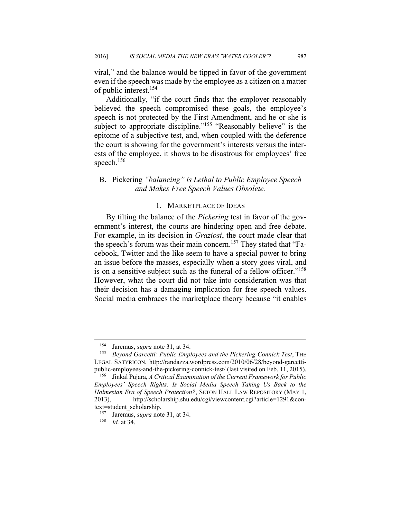viral," and the balance would be tipped in favor of the government even if the speech was made by the employee as a citizen on a matter of public interest.<sup>154</sup>

Additionally, "if the court finds that the employer reasonably believed the speech compromised these goals, the employee's speech is not protected by the First Amendment, and he or she is subject to appropriate discipline."<sup>155</sup> "Reasonably believe" is the epitome of a subjective test, and, when coupled with the deference the court is showing for the government's interests versus the interests of the employee, it shows to be disastrous for employees' free speech.<sup>156</sup>

# B.Pickering *"balancing" is Lethal to Public Employee Speech and Makes Free Speech Values Obsolete.*

# 1. MARKETPLACE OF IDEAS

By tilting the balance of the *Pickering* test in favor of the government's interest, the courts are hindering open and free debate. For example, in its decision in *Graziosi*, the court made clear that the speech's forum was their main concern.<sup>157</sup> They stated that "Facebook, Twitter and the like seem to have a special power to bring an issue before the masses, especially when a story goes viral, and is on a sensitive subject such as the funeral of a fellow officer."158 However, what the court did not take into consideration was that their decision has a damaging implication for free speech values. Social media embraces the marketplace theory because "it enables

<sup>154</sup> Jaremus, *supra* note 31, at 34. 155 *Beyond Garcetti: Public Employees and the Pickering-Connick Test*, THE LEGAL SATYRICON, http://randazza.wordpress.com/2010/06/28/beyond-garcettipublic-employees-and-the-pickering-connick-test/ (last visited on Feb. 11, 2015). 156 Jinkal Pujara, *A Critical Examination of the Current Framework for Public* 

*Employees' Speech Rights: Is Social Media Speech Taking Us Back to the Holmesian Era of Speech Protection?*, SETON HALL LAW REPOSITORY (MAY 1, 2013), http://scholarship.shu.edu/cgi/viewcontent.cgi?article=1291&context=student\_scholarship.<br><sup>157</sup> Jaremus, *supra* note 31, at 34.<br><sup>158</sup> *Id.* at 34.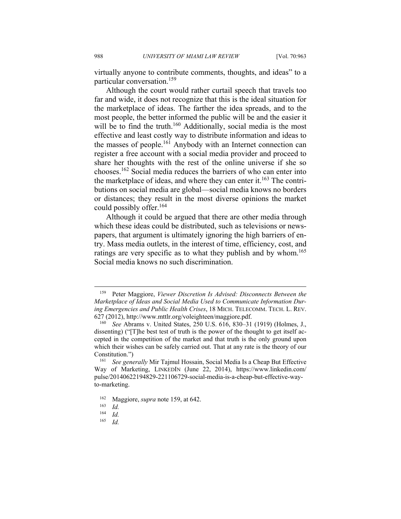virtually anyone to contribute comments, thoughts, and ideas" to a particular conversation.159

Although the court would rather curtail speech that travels too far and wide, it does not recognize that this is the ideal situation for the marketplace of ideas. The farther the idea spreads, and to the most people, the better informed the public will be and the easier it will be to find the truth.<sup>160</sup> Additionally, social media is the most effective and least costly way to distribute information and ideas to the masses of people.<sup>161</sup> Anybody with an Internet connection can register a free account with a social media provider and proceed to share her thoughts with the rest of the online universe if she so chooses.162 Social media reduces the barriers of who can enter into the marketplace of ideas, and where they can enter it.<sup>163</sup> The contributions on social media are global––social media knows no borders or distances; they result in the most diverse opinions the market could possibly offer.<sup>164</sup>

Although it could be argued that there are other media through which these ideas could be distributed, such as televisions or newspapers, that argument is ultimately ignoring the high barriers of entry. Mass media outlets, in the interest of time, efficiency, cost, and ratings are very specific as to what they publish and by whom.<sup>165</sup> Social media knows no such discrimination.

<sup>159</sup> Peter Maggiore, *Viewer Discretion Is Advised: Disconnects Between the Marketplace of Ideas and Social Media Used to Communicate Information During Emergencies and Public Health Crises*, 18 MICH. TELECOMM. TECH. L. REV. 627 (2012), http://www.mttlr.org/voleighteen/maggiore.pdf. 160 *See* Abrams v. United States, 250 U.S. 616, 830–31 (1919) (Holmes, J.,

dissenting) ("[T]he best test of truth is the power of the thought to get itself accepted in the competition of the market and that truth is the only ground upon which their wishes can be safely carried out. That at any rate is the theory of our Constitution.") 161 *See generally* Mir Tajmul Hossain, Social Media Is a Cheap But Effective

Way of Marketing, LINKEDIN (June 22, 2014), https://www.linkedin.com/ pulse/20140622194829-221106729-social-media-is-a-cheap-but-effective-wayto-marketing.

<sup>162</sup> Maggiore, *supra* note 159, at 642. 163 *Id.*

 $\frac{164}{165}$  *Id.* 

<sup>165</sup> *Id.*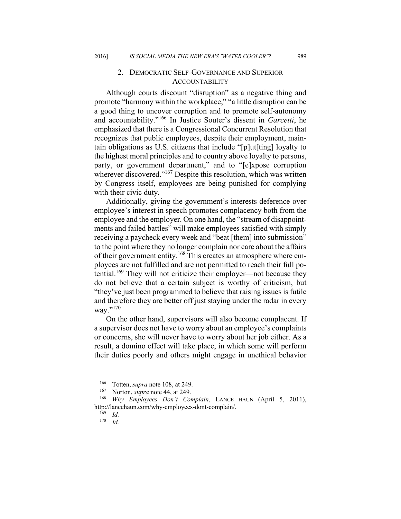# 2. DEMOCRATIC SELF-GOVERNANCE AND SUPERIOR **ACCOUNTABILITY**

Although courts discount "disruption" as a negative thing and promote "harmony within the workplace," "a little disruption can be a good thing to uncover corruption and to promote self-autonomy and accountability."166 In Justice Souter's dissent in *Garcetti*, he emphasized that there is a Congressional Concurrent Resolution that recognizes that public employees, despite their employment, maintain obligations as U.S. citizens that include "[p]ut[ting] loyalty to the highest moral principles and to country above loyalty to persons, party, or government department," and to "[e]xpose corruption wherever discovered."<sup>167</sup> Despite this resolution, which was written by Congress itself, employees are being punished for complying with their civic duty.

Additionally, giving the government's interests deference over employee's interest in speech promotes complacency both from the employee and the employer. On one hand, the "stream of disappointments and failed battles" will make employees satisfied with simply receiving a paycheck every week and "beat [them] into submission" to the point where they no longer complain nor care about the affairs of their government entity.<sup>168</sup> This creates an atmosphere where employees are not fulfilled and are not permitted to reach their full potential.<sup>169</sup> They will not criticize their employer—not because they do not believe that a certain subject is worthy of criticism, but "they've just been programmed to believe that raising issues is futile and therefore they are better off just staying under the radar in every way."<sup>170</sup>

On the other hand, supervisors will also become complacent. If a supervisor does not have to worry about an employee's complaints or concerns, she will never have to worry about her job either. As a result, a domino effect will take place, in which some will perform their duties poorly and others might engage in unethical behavior

<sup>166</sup> Totten, *supra* note 108, at 249. 167 Norton, *supra* note 44, at 249. 168 *Why Employees Don't Complain*, LANCE HAUN (April 5, 2011), http://lancehaun.com/why-employees-dont-complain/. 169 *Id.*

<sup>170</sup> *Id.*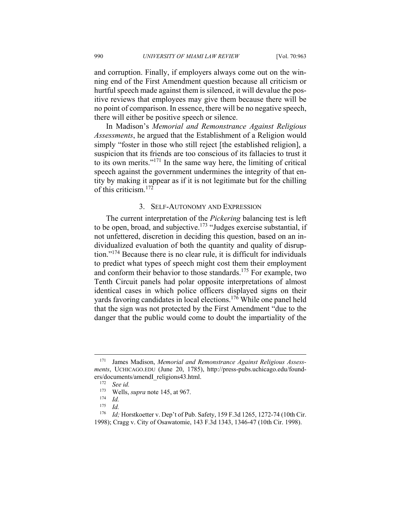and corruption. Finally, if employers always come out on the winning end of the First Amendment question because all criticism or hurtful speech made against them is silenced, it will devalue the positive reviews that employees may give them because there will be no point of comparison. In essence, there will be no negative speech, there will either be positive speech or silence.

In Madison's *Memorial and Remonstrance Against Religious Assessments*, he argued that the Establishment of a Religion would simply "foster in those who still reject [the established religion], a suspicion that its friends are too conscious of its fallacies to trust it to its own merits."171 In the same way here, the limiting of critical speech against the government undermines the integrity of that entity by making it appear as if it is not legitimate but for the chilling of this criticism.<sup>172</sup>

## 3. SELF-AUTONOMY AND EXPRESSION

The current interpretation of the *Pickering* balancing test is left to be open, broad, and subjective.<sup>173</sup> "Judges exercise substantial, if not unfettered, discretion in deciding this question, based on an individualized evaluation of both the quantity and quality of disruption."174 Because there is no clear rule, it is difficult for individuals to predict what types of speech might cost them their employment and conform their behavior to those standards.175 For example, two Tenth Circuit panels had polar opposite interpretations of almost identical cases in which police officers displayed signs on their yards favoring candidates in local elections.176 While one panel held that the sign was not protected by the First Amendment "due to the danger that the public would come to doubt the impartiality of the

<sup>171</sup> James Madison, *Memorial and Remonstrance Against Religious Assessments*, UCHICAGO.EDU (June 20, 1785), http://press-pubs.uchicago.edu/founders/documents/amendI\_religions43.html. 172 *See id.*

<sup>173</sup> Wells, *supra* note 145, at 967. 174 *Id.*

 $\frac{175}{176}$  *Id.* 

*Id*; Horstkoetter v. Dep't of Pub. Safety, 159 F.3d 1265, 1272-74 (10th Cir. 1998); Cragg v. City of Osawatomie, 143 F.3d 1343, 1346-47 (10th Cir. 1998).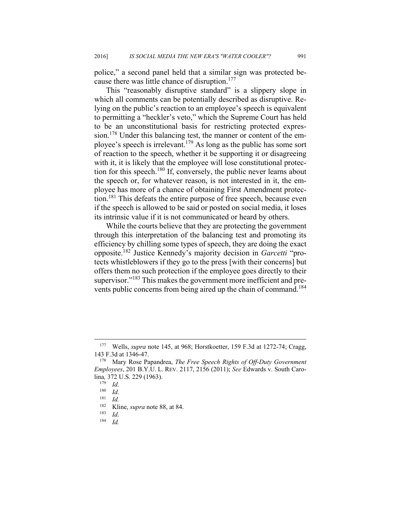police," a second panel held that a similar sign was protected because there was little chance of disruption.<sup>177</sup>

This "reasonably disruptive standard" is a slippery slope in which all comments can be potentially described as disruptive. Relying on the public's reaction to an employee's speech is equivalent to permitting a "heckler's veto," which the Supreme Court has held to be an unconstitutional basis for restricting protected expression.<sup>178</sup> Under this balancing test, the manner or content of the employee's speech is irrelevant.<sup>179</sup> As long as the public has some sort of reaction to the speech, whether it be supporting it or disagreeing with it, it is likely that the employee will lose constitutional protection for this speech.<sup>180</sup> If, conversely, the public never learns about the speech or, for whatever reason, is not interested in it, the employee has more of a chance of obtaining First Amendment protection.181 This defeats the entire purpose of free speech, because even if the speech is allowed to be said or posted on social media, it loses its intrinsic value if it is not communicated or heard by others.

While the courts believe that they are protecting the government through this interpretation of the balancing test and promoting its efficiency by chilling some types of speech, they are doing the exact opposite.182 Justice Kennedy's majority decision in *Garcetti* "protects whistleblowers if they go to the press [with their concerns] but offers them no such protection if the employee goes directly to their supervisor."<sup>183</sup> This makes the government more inefficient and prevents public concerns from being aired up the chain of command.<sup>184</sup>

<sup>177</sup> Wells, *supra* note 145, at 968; Horstkoetter, 159 F.3d at 1272-74; Cragg, 143 F.3d at 1346-47. 178 Mary Rose Papandrea, *The Free Speech Rights of Off-Duty Government* 

*Employees*, 201 B.Y.U. L. REV. 2117, 2156 (2011); *See* Edwards v. South Carolina*,* 372 U.S. 229 (1963). 179 *Id.*

 $\frac{180}{181}$  *Id.* 

<sup>181</sup> *Id.*

<sup>182</sup> Kline, *supra* note 88, at 84. 183 *Id.*

<sup>184</sup> *Id.*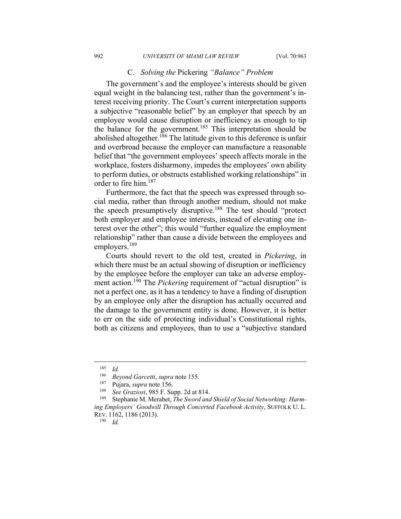#### C. *Solving the* Pickering *"Balance" Problem*

The government's and the employee's interests should be given equal weight in the balancing test, rather than the government's interest receiving priority. The Court's current interpretation supports a subjective "reasonable belief" by an employer that speech by an employee would cause disruption or inefficiency as enough to tip the balance for the government.<sup>185</sup> This interpretation should be abolished altogether.<sup>186</sup> The latitude given to this deference is unfair and overbroad because the employer can manufacture a reasonable belief that "the government employees' speech affects morale in the workplace, fosters disharmony, impedes the employees' own ability to perform duties, or obstructs established working relationships" in order to fire him.<sup>187</sup>

Furthermore, the fact that the speech was expressed through social media, rather than through another medium, should not make the speech presumptively disruptive.188 The test should "protect both employer and employee interests, instead of elevating one interest over the other"; this would "further equalize the employment relationship" rather than cause a divide between the employees and employers.<sup>189</sup>

Courts should revert to the old test, created in *Pickering*, in which there must be an actual showing of disruption or inefficiency by the employee before the employer can take an adverse employment action.<sup>190</sup> The *Pickering* requirement of "actual disruption" is not a perfect one, as it has a tendency to have a finding of disruption by an employee only after the disruption has actually occurred and the damage to the government entity is done. However, it is better to err on the side of protecting individual's Constitutional rights, both as citizens and employees, than to use a "subjective standard

<sup>185</sup> *Id.* 

<sup>&</sup>lt;sup>186</sup> Beyond Garcetti, *supra* note 155.<br><sup>187</sup> Pujara, *supra* note 156.<br><sup>188</sup> See Graziosi, 985 F. Supp. 2d at 814.<br><sup>189</sup> Stephanie M. Merabet, *The Sword and Shield of Social Networking: Harming Employers' Goodwill Through Concerted Facebook Activity*, SUFFOLK U. L. REV. 1162, 1186 (2013). 190 *Id.*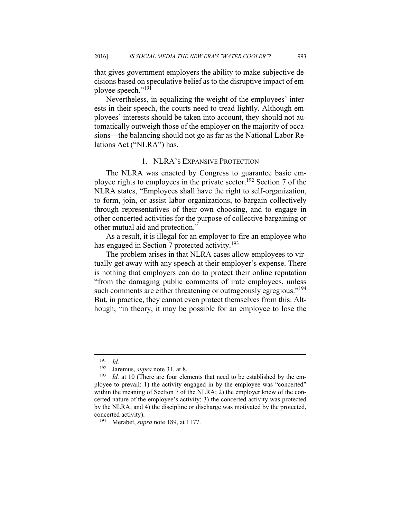that gives government employers the ability to make subjective decisions based on speculative belief as to the disruptive impact of employee speech."191

Nevertheless, in equalizing the weight of the employees' interests in their speech, the courts need to tread lightly. Although employees' interests should be taken into account, they should not automatically outweigh those of the employer on the majority of occasions––the balancing should not go as far as the National Labor Relations Act ("NLRA") has.

#### 1. NLRA'S EXPANSIVE PROTECTION

The NLRA was enacted by Congress to guarantee basic employee rights to employees in the private sector.192 Section 7 of the NLRA states, "Employees shall have the right to self-organization, to form, join, or assist labor organizations, to bargain collectively through representatives of their own choosing, and to engage in other concerted activities for the purpose of collective bargaining or other mutual aid and protection."

As a result, it is illegal for an employer to fire an employee who has engaged in Section 7 protected activity.<sup>193</sup>

The problem arises in that NLRA cases allow employees to virtually get away with any speech at their employer's expense. There is nothing that employers can do to protect their online reputation "from the damaging public comments of irate employees, unless such comments are either threatening or outrageously egregious."<sup>194</sup> But, in practice, they cannot even protect themselves from this. Although, "in theory, it may be possible for an employee to lose the

 $\frac{191}{192}$  *Id.* 

<sup>&</sup>lt;sup>192</sup> Jaremus, *supra* note 31, at 8.<br><sup>193</sup> Id. at 10 (There are four elements that need to be established by the employee to prevail: 1) the activity engaged in by the employee was "concerted" within the meaning of Section 7 of the NLRA; 2) the employer knew of the concerted nature of the employee's activity; 3) the concerted activity was protected by the NLRA; and 4) the discipline or discharge was motivated by the protected, concerted activity). 194 Merabet, *supra* note 189, at 1177.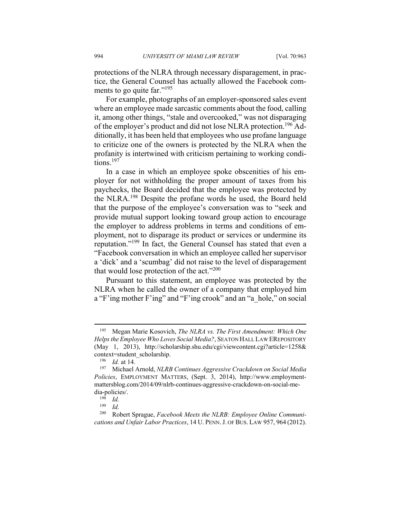protections of the NLRA through necessary disparagement, in practice, the General Counsel has actually allowed the Facebook comments to go quite far."<sup>195</sup>

For example, photographs of an employer-sponsored sales event where an employee made sarcastic comments about the food, calling it, among other things, "stale and overcooked," was not disparaging of the employer's product and did not lose NLRA protection.<sup>196</sup> Additionally, it has been held that employees who use profane language to criticize one of the owners is protected by the NLRA when the profanity is intertwined with criticism pertaining to working conditions.<sup>197</sup>

In a case in which an employee spoke obscenities of his employer for not withholding the proper amount of taxes from his paychecks, the Board decided that the employee was protected by the NLRA.198 Despite the profane words he used, the Board held that the purpose of the employee's conversation was to "seek and provide mutual support looking toward group action to encourage the employer to address problems in terms and conditions of employment, not to disparage its product or services or undermine its reputation."199 In fact, the General Counsel has stated that even a "Facebook conversation in which an employee called her supervisor a 'dick' and a 'scumbag' did not raise to the level of disparagement that would lose protection of the act."<sup>200</sup>

Pursuant to this statement, an employee was protected by the NLRA when he called the owner of a company that employed him a "F'ing mother F'ing" and "F'ing crook" and an "a\_hole," on social

<sup>195</sup> Megan Marie Kosovich, *The NLRA vs. The First Amendment: Which One Helps the Employee Who Loves Social Media?*, SEATON HALL LAW EREPOSITORY (May 1, 2013), http://scholarship.shu.edu/cgi/viewcontent.cgi?article=1258&

context=student\_scholarship. 196 *Id.* at 14. 197 Michael Arnold, *NLRB Continues Aggressive Crackdown on Social Media Policies*, EMPLOYMENT MATTERS, (Sept. 3, 2014), http://www.employmentmattersblog.com/2014/09/nlrb-continues-aggressive-crackdown-on-social-media-policies/.<br> $\frac{198}{199}$  *Id.* 

 $\frac{199}{200}$  *Id.* 

Robert Sprague, *Facebook Meets the NLRB: Employee Online Communications and Unfair Labor Practices*, 14 U. PENN.J. OF BUS. LAW 957, 964 (2012).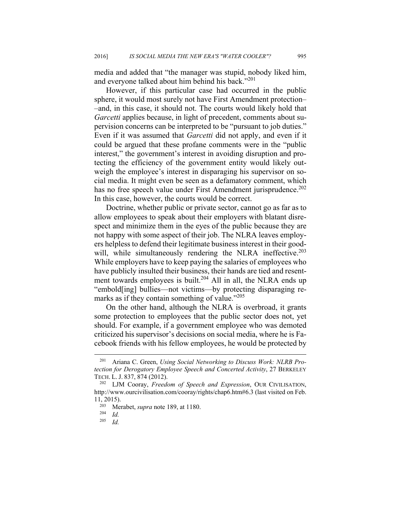media and added that "the manager was stupid, nobody liked him, and everyone talked about him behind his back."<sup>201</sup>

However, if this particular case had occurred in the public sphere, it would most surely not have First Amendment protection– –and, in this case, it should not. The courts would likely hold that *Garcetti* applies because, in light of precedent, comments about supervision concerns can be interpreted to be "pursuant to job duties." Even if it was assumed that *Garcetti* did not apply, and even if it could be argued that these profane comments were in the "public interest," the government's interest in avoiding disruption and protecting the efficiency of the government entity would likely outweigh the employee's interest in disparaging his supervisor on social media. It might even be seen as a defamatory comment, which has no free speech value under First Amendment jurisprudence.<sup>202</sup> In this case, however, the courts would be correct.

Doctrine, whether public or private sector, cannot go as far as to allow employees to speak about their employers with blatant disrespect and minimize them in the eyes of the public because they are not happy with some aspect of their job. The NLRA leaves employers helpless to defend their legitimate business interest in their goodwill, while simultaneously rendering the NLRA ineffective.<sup>203</sup> While employers have to keep paying the salaries of employees who have publicly insulted their business, their hands are tied and resentment towards employees is built.<sup>204</sup> All in all, the NLRA ends up "embold[ing] bullies––not victims––by protecting disparaging remarks as if they contain something of value."<sup>205</sup>

On the other hand, although the NLRA is overbroad, it grants some protection to employees that the public sector does not, yet should. For example, if a government employee who was demoted criticized his supervisor's decisions on social media, where he is Facebook friends with his fellow employees, he would be protected by

<sup>201</sup> Ariana C. Green, *Using Social Networking to Discuss Work: NLRB Protection for Derogatory Employee Speech and Concerted Activity*, 27 BERKELEY TECH. L. J. 837, 874 (2012).<br><sup>202</sup> LJM Cooray, *Freedom of Speech and Expression*, OUR CIVILISATION,

http://www.ourcivilisation.com/cooray/rights/chap6.htm#6.3 (last visited on Feb. 11, 2015). 203 Merabet, *supra* note 189, at 1180. 204 *Id.*

*Id.*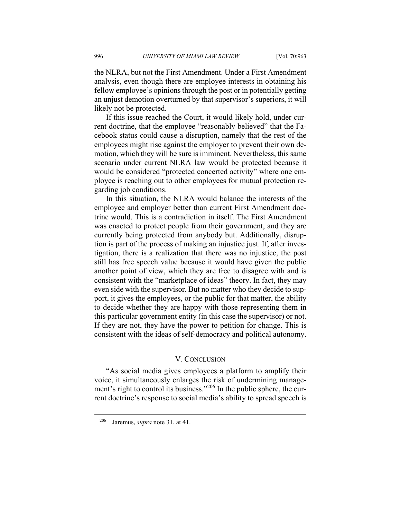the NLRA, but not the First Amendment. Under a First Amendment analysis, even though there are employee interests in obtaining his fellow employee's opinions through the post or in potentially getting an unjust demotion overturned by that supervisor's superiors, it will likely not be protected.

If this issue reached the Court, it would likely hold, under current doctrine, that the employee "reasonably believed" that the Facebook status could cause a disruption, namely that the rest of the employees might rise against the employer to prevent their own demotion, which they will be sure is imminent. Nevertheless, this same scenario under current NLRA law would be protected because it would be considered "protected concerted activity" where one employee is reaching out to other employees for mutual protection regarding job conditions.

In this situation, the NLRA would balance the interests of the employee and employer better than current First Amendment doctrine would. This is a contradiction in itself. The First Amendment was enacted to protect people from their government, and they are currently being protected from anybody but. Additionally, disruption is part of the process of making an injustice just. If, after investigation, there is a realization that there was no injustice, the post still has free speech value because it would have given the public another point of view, which they are free to disagree with and is consistent with the "marketplace of ideas" theory. In fact, they may even side with the supervisor. But no matter who they decide to support, it gives the employees, or the public for that matter, the ability to decide whether they are happy with those representing them in this particular government entity (in this case the supervisor) or not. If they are not, they have the power to petition for change. This is consistent with the ideas of self-democracy and political autonomy.

#### V. CONCLUSION

"As social media gives employees a platform to amplify their voice, it simultaneously enlarges the risk of undermining management's right to control its business."206 In the public sphere, the current doctrine's response to social media's ability to spread speech is

1

<sup>206</sup> Jaremus, *supra* note 31, at 41.